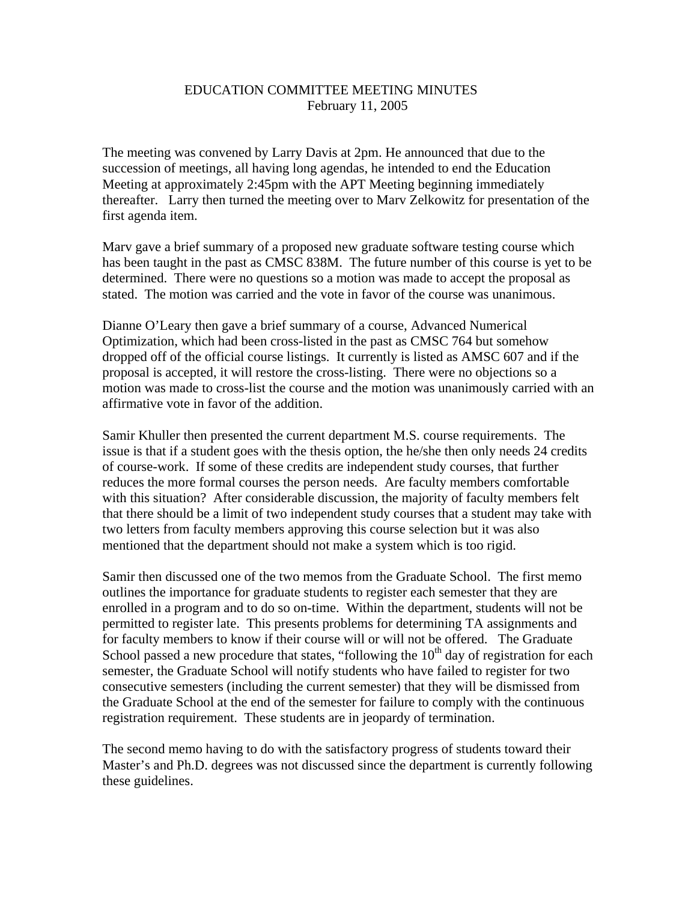## EDUCATION COMMITTEE MEETING MINUTES February 11, 2005

The meeting was convened by Larry Davis at 2pm. He announced that due to the succession of meetings, all having long agendas, he intended to end the Education Meeting at approximately 2:45pm with the APT Meeting beginning immediately thereafter. Larry then turned the meeting over to Marv Zelkowitz for presentation of the first agenda item.

Marv gave a brief summary of a proposed new graduate software testing course which has been taught in the past as CMSC 838M. The future number of this course is yet to be determined. There were no questions so a motion was made to accept the proposal as stated. The motion was carried and the vote in favor of the course was unanimous.

Dianne O'Leary then gave a brief summary of a course, Advanced Numerical Optimization, which had been cross-listed in the past as CMSC 764 but somehow dropped off of the official course listings. It currently is listed as AMSC 607 and if the proposal is accepted, it will restore the cross-listing. There were no objections so a motion was made to cross-list the course and the motion was unanimously carried with an affirmative vote in favor of the addition.

Samir Khuller then presented the current department M.S. course requirements. The issue is that if a student goes with the thesis option, the he/she then only needs 24 credits of course-work. If some of these credits are independent study courses, that further reduces the more formal courses the person needs. Are faculty members comfortable with this situation? After considerable discussion, the majority of faculty members felt that there should be a limit of two independent study courses that a student may take with two letters from faculty members approving this course selection but it was also mentioned that the department should not make a system which is too rigid.

Samir then discussed one of the two memos from the Graduate School. The first memo outlines the importance for graduate students to register each semester that they are enrolled in a program and to do so on-time. Within the department, students will not be permitted to register late. This presents problems for determining TA assignments and for faculty members to know if their course will or will not be offered. The Graduate School passed a new procedure that states, "following the  $10<sup>th</sup>$  day of registration for each semester, the Graduate School will notify students who have failed to register for two consecutive semesters (including the current semester) that they will be dismissed from the Graduate School at the end of the semester for failure to comply with the continuous registration requirement. These students are in jeopardy of termination.

The second memo having to do with the satisfactory progress of students toward their Master's and Ph.D. degrees was not discussed since the department is currently following these guidelines.